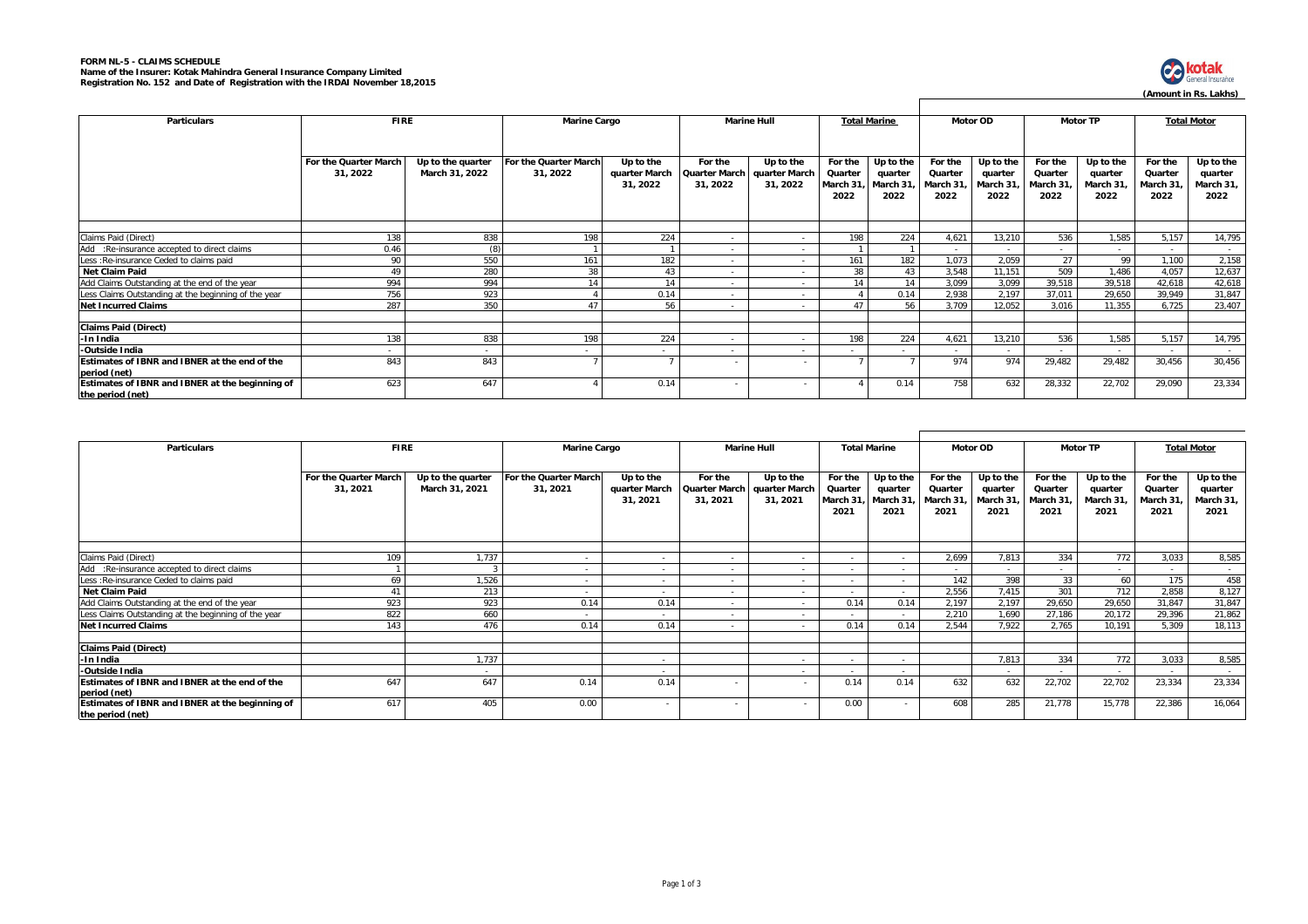## **FORM NL-5 - CLAIMS SCHEDULE Name of the Insurer: Kotak Mahindra General Insurance Company Limited Registration No. 152 and Date of Registration with the IRDAI November 18,2015**



| <b>Particulars</b>                                   | <b>FIRE</b>           |                   | <b>Marine Cargo</b>   |               | <b>Marine Hull</b>            | <b>Total Marine</b>      |                   | Motor OD         |                  | <b>Motor TP</b>   |                          | <b>Total Motor</b> |                   |                   |
|------------------------------------------------------|-----------------------|-------------------|-----------------------|---------------|-------------------------------|--------------------------|-------------------|------------------|------------------|-------------------|--------------------------|--------------------|-------------------|-------------------|
|                                                      |                       |                   |                       |               |                               |                          |                   |                  |                  |                   |                          |                    |                   |                   |
|                                                      |                       |                   |                       |               |                               |                          |                   |                  |                  |                   |                          |                    |                   |                   |
|                                                      | For the Quarter March | Up to the quarter | For the Quarter March | Up to the     | For the                       | Up to the                | For the           | Up to the        | For the          | Up to the         | For the                  | Up to the          | For the           | Up to the         |
|                                                      | 31, 2022              | March 31, 2022    | 31, 2022              | quarter March | Quarter March   quarter March |                          | Quarter           | quarter          | Quarter          | quarter           | Quarter                  | quarter            | Quarter           | quarter           |
|                                                      |                       |                   |                       | 31, 2022      | 31, 2022                      | 31, 2022                 | March 31,<br>2022 | March 31<br>2022 | March 31<br>2022 | March 31,<br>2022 | March 31,<br>2022        | March 31<br>2022   | March 31,<br>2022 | March 31,<br>2022 |
|                                                      |                       |                   |                       |               |                               |                          |                   |                  |                  |                   |                          |                    |                   |                   |
|                                                      |                       |                   |                       |               |                               |                          |                   |                  |                  |                   |                          |                    |                   |                   |
|                                                      |                       |                   |                       |               |                               |                          |                   |                  |                  |                   |                          |                    |                   |                   |
| Claims Paid (Direct)                                 | 138                   | 838               | 198                   | 224           | $\sim$                        | $\sim$                   | 198               | 224              | 4,621            | 13,210            | 536                      | 1.585              | 5.157             | 14,795            |
| Add :Re-insurance accepted to direct claims          | 0.46                  | (8)               |                       |               | ۰                             | $\overline{\phantom{a}}$ |                   |                  | $\sim$           |                   |                          |                    | $\sim$            | $\sim$            |
| Less : Re-insurance Ceded to claims paid             | 90                    | 550               | 161                   | 182           | $\sim$                        | $\overline{\phantom{a}}$ | 161               | 182              | 1,073            | 2,059             | 27                       | 99                 | 1,100             | 2,158             |
| Net Claim Paid                                       | 49                    | 280               | 38                    | 43            | $\sim$                        | $\sim$                   | 38                | 43               | 3.548            | 11,151            | 509                      | 1.486              | 4.057             | 12,637            |
| Add Claims Outstanding at the end of the year        | 994                   | 994               | 14                    | 14            | $\sim$                        | $\overline{\phantom{a}}$ | 14                | 14               | 3.099            | 3,099             | 39,518                   | 39,518             | 42,618            | 42,618            |
| Less Claims Outstanding at the beginning of the year | 756                   | 923               |                       | 0.14          | $\sim$                        | $\overline{\phantom{a}}$ |                   | 0.14             | 2.938            | 2.197             | 37.011                   | 29,650             | 39,949            | 31,847            |
| <b>Net Incurred Claims</b>                           | 287                   | 350               |                       | 56            | $\sim$                        | $\overline{\phantom{a}}$ | 47                | 56               | 3.709            | 12,052            | 3.016                    | 11,355             | 6.725             | 23,407            |
|                                                      |                       |                   |                       |               |                               |                          |                   |                  |                  |                   |                          |                    |                   |                   |
| <b>Claims Paid (Direct)</b>                          |                       |                   |                       |               |                               |                          |                   |                  |                  |                   |                          |                    |                   |                   |
| -In India                                            | 138                   | 838               | 198                   | 224           | $\sim$                        | $\sim$                   | 198               | 224              | 4.621            | 13,210            | 536                      | 1.585              | 5.157             | 14,795            |
| -Outside India                                       | $\sim$                | $\sim$            |                       | $\sim$        | $\sim$                        | $\sim$                   | $\sim$            | $\sim$           | $\sim$           | $\sim$            | $\overline{\phantom{a}}$ | $\sim$             | $\sim$            | $\sim$ 100 $\pm$  |
| Estimates of IBNR and IBNER at the end of the        | 843                   | 843               |                       |               | $\overline{\phantom{a}}$      | $\sim$                   |                   |                  | 974              | 974               | 29,482                   | 29,482             | 30,456            | 30,456            |
| period (net)                                         |                       |                   |                       |               |                               |                          |                   |                  |                  |                   |                          |                    |                   |                   |
| Estimates of IBNR and IBNER at the beginning of      | 623                   | 647               |                       | 0.14          | $\overline{\phantom{a}}$      | $\sim$                   |                   | 0.14             | 758              | 632               | 28,332                   | 22,702             | 29,090            | 23,334            |
| the period (net)                                     |                       |                   |                       |               |                               |                          |                   |                  |                  |                   |                          |                    |                   |                   |

| <b>Particulars</b>                                                  | <b>FIRE</b>                      |                                     | <b>Marine Cargo</b>              |                                       |                                                   | <b>Marine Hull</b>       |                                                  | <b>Total Marine</b>          |                                        | Motor OD                                  | <b>Motor TP</b>                        |                                          | <b>Total Motor</b>                      |                                           |
|---------------------------------------------------------------------|----------------------------------|-------------------------------------|----------------------------------|---------------------------------------|---------------------------------------------------|--------------------------|--------------------------------------------------|------------------------------|----------------------------------------|-------------------------------------------|----------------------------------------|------------------------------------------|-----------------------------------------|-------------------------------------------|
|                                                                     |                                  |                                     |                                  |                                       |                                                   |                          |                                                  |                              |                                        |                                           |                                        |                                          |                                         |                                           |
|                                                                     | For the Quarter March<br>31.2021 | Up to the quarter<br>March 31, 2021 | For the Quarter March<br>31.2021 | Up to the<br>quarter March<br>31.2021 | For the<br>Quarter March quarter March<br>31.2021 | Up to the<br>31, 2021    | For the<br>Quarter<br>March 31, March 31<br>2021 | Up to the<br>quarter<br>2021 | For the<br>Quarter<br>March 31<br>2021 | Up to the<br>quarter<br>March 31,<br>2021 | For the<br>Quarter<br>March 31<br>2021 | Up to the<br>quarter<br>March 31<br>2021 | For the<br>Quarter<br>March 31,<br>2021 | Up to the<br>quarter<br>March 31,<br>2021 |
|                                                                     |                                  |                                     |                                  |                                       |                                                   |                          |                                                  |                              |                                        |                                           |                                        |                                          |                                         |                                           |
|                                                                     |                                  |                                     |                                  |                                       |                                                   |                          |                                                  |                              |                                        |                                           |                                        |                                          |                                         |                                           |
| Claims Paid (Direct)                                                | 109                              | 1.737                               |                                  |                                       |                                                   | $\overline{\phantom{a}}$ |                                                  |                              | 2.699                                  | 7.813                                     | 334                                    | 772                                      | 3.033                                   | 8,585                                     |
| Add :Re-insurance accepted to direct claims                         |                                  |                                     | $\sim$                           | $\overline{a}$                        | ٠                                                 | $\overline{\phantom{a}}$ | $\sim$                                           |                              | $\sim$                                 |                                           | $\sim$                                 | $\sim$                                   | $\sim$                                  | $\sim$                                    |
| Less : Re-insurance Ceded to claims paid                            | 69                               | 1,526                               | $\sim$                           | $\overline{a}$                        | $\sim$                                            | $\overline{\phantom{a}}$ | $\sim$                                           |                              | 142                                    | 398                                       | 33                                     | 60                                       | 175                                     | 458                                       |
| Net Claim Paid                                                      | 41                               | 213                                 | $\sim$                           | $\overline{a}$                        | $\sim$                                            | $\overline{\phantom{a}}$ |                                                  |                              | 2.556                                  | 7.415                                     | 301                                    | 712                                      | 2.858                                   | 8,127                                     |
| Add Claims Outstanding at the end of the year                       | 923                              | 923                                 | 0.14                             | 0.14                                  | $\sim$                                            | $\overline{\phantom{a}}$ | 0.14                                             | 0.14                         | 2.197                                  | 2.197                                     | 29.650                                 | 29,650                                   | 31,847                                  | 31,847                                    |
| Less Claims Outstanding at the beginning of the year                | 822                              | 660                                 |                                  | $\sim$                                | $\sim$                                            | $\overline{\phantom{a}}$ |                                                  |                              | 2.210                                  | 1,690                                     | 27.186                                 | 20,172                                   | 29,396                                  | 21,862                                    |
| <b>Net Incurred Claims</b>                                          | 143                              | 476                                 | 0.14                             | 0.14                                  | $\sim$                                            | $\overline{\phantom{a}}$ | 0.14                                             | 0.14                         | 2,544                                  | 7,922                                     | 2.765                                  | 10.191                                   | 5,309                                   | 18,113                                    |
| <b>Claims Paid (Direct)</b>                                         |                                  |                                     |                                  |                                       |                                                   |                          |                                                  |                              |                                        |                                           |                                        |                                          |                                         |                                           |
| -In India                                                           |                                  | 1,737                               |                                  | $\overline{a}$                        |                                                   | $\overline{\phantom{a}}$ | $\sim$                                           |                              |                                        | 7,813                                     | 334                                    | 772                                      | 3.033                                   | 8,585                                     |
| -Outside India                                                      |                                  | $\sim$                              |                                  | $\sim$                                |                                                   | $\overline{\phantom{a}}$ |                                                  |                              |                                        | $\sim$                                    |                                        | $\sim$                                   | $\sim$                                  | $\sim$                                    |
| Estimates of IBNR and IBNER at the end of the<br>period (net)       | 647                              | 647                                 | 0.14                             | 0.14                                  |                                                   |                          | 0.14                                             | 0.14                         | 632                                    | 632                                       | 22,702                                 | 22,702                                   | 23,334                                  | 23,334                                    |
| Estimates of IBNR and IBNER at the beginning of<br>the period (net) | 617                              | 405                                 | 0.00                             |                                       |                                                   |                          | 0.00                                             |                              | 608                                    | 285                                       | 21,778                                 | 15,778                                   | 22,386                                  | 16,064                                    |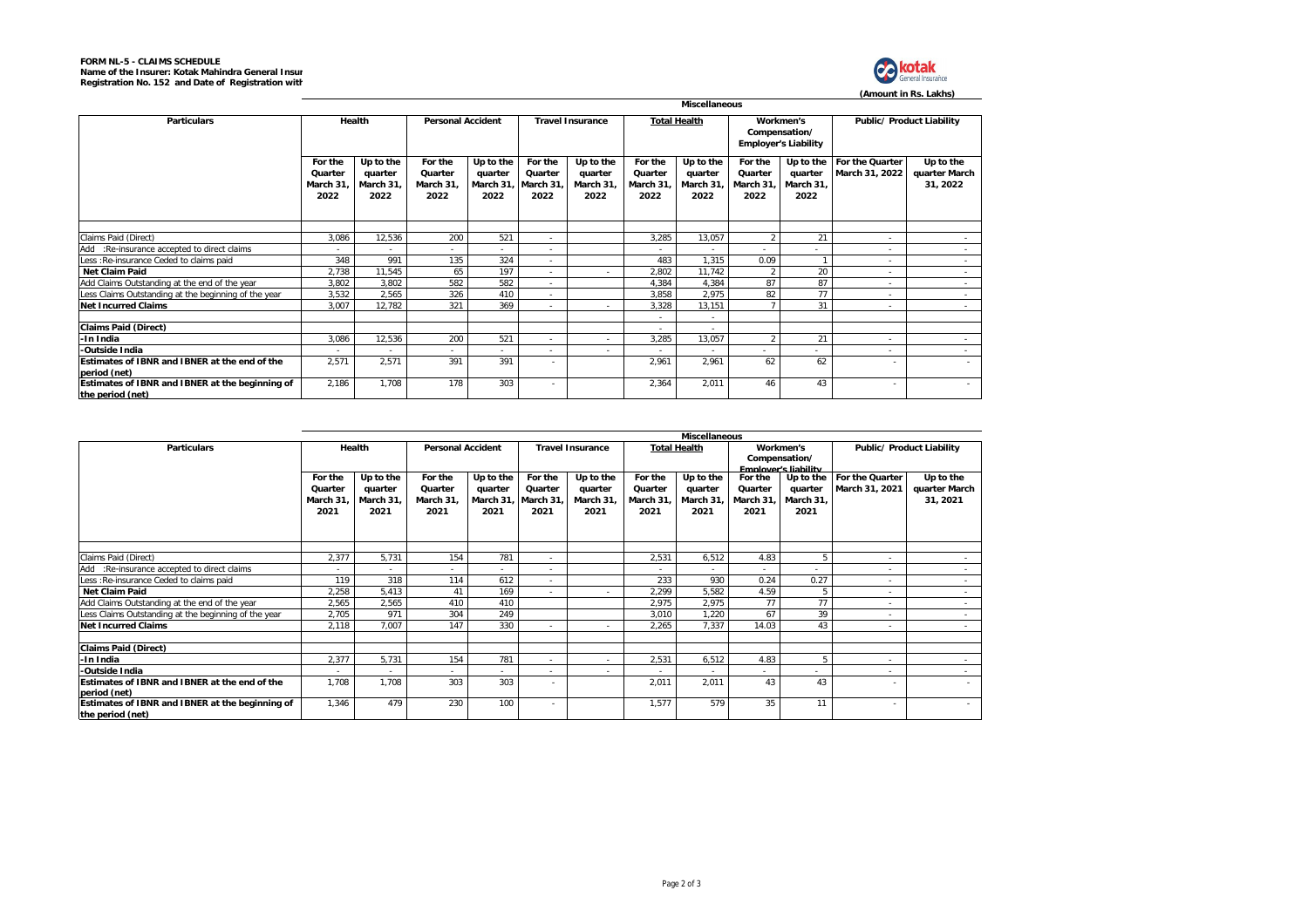

## **(Amount in Rs. Lakhs)**

|                                                                     | <b>Miscellaneous</b>                    |                                           |                                         |                                           |                                        |                                           |                                         |                                           |                                         |                                           |                                   |                                        |  |  |
|---------------------------------------------------------------------|-----------------------------------------|-------------------------------------------|-----------------------------------------|-------------------------------------------|----------------------------------------|-------------------------------------------|-----------------------------------------|-------------------------------------------|-----------------------------------------|-------------------------------------------|-----------------------------------|----------------------------------------|--|--|
| <b>Particulars</b>                                                  | Health                                  |                                           | <b>Personal Accident</b>                |                                           | <b>Travel Insurance</b>                |                                           |                                         | <b>Total Health</b>                       | Compensation/                           | Workmen's<br><b>Employer's Liability</b>  | Public/ Product Liability         |                                        |  |  |
|                                                                     | For the<br>Quarter<br>March 31.<br>2022 | Up to the<br>quarter<br>March 31,<br>2022 | For the<br>Quarter<br>March 31.<br>2022 | Up to the<br>quarter<br>March 31,<br>2022 | For the<br>Quarter<br>March 31<br>2022 | Up to the<br>quarter<br>March 31,<br>2022 | For the<br>Quarter<br>March 31,<br>2022 | Up to the<br>quarter<br>March 31.<br>2022 | For the<br>Quarter<br>March 31,<br>2022 | Up to the<br>quarter<br>March 31,<br>2022 | For the Quarter<br>March 31, 2022 | Up to the<br>quarter March<br>31, 2022 |  |  |
|                                                                     |                                         |                                           |                                         |                                           |                                        |                                           |                                         |                                           |                                         |                                           |                                   |                                        |  |  |
| Claims Paid (Direct)                                                | 3,086                                   | 12,536                                    | 200                                     | 521                                       | ۰                                      |                                           | 3,285                                   | 13,057                                    | $\mathfrak{p}$                          | 21                                        | $\overline{\phantom{a}}$          | $\sim$                                 |  |  |
| Add :Re-insurance accepted to direct claims                         |                                         |                                           |                                         |                                           | $\overline{\phantom{a}}$               |                                           | $\overline{\phantom{a}}$                |                                           |                                         |                                           | $\overline{\phantom{a}}$          | $\sim$                                 |  |  |
| Less : Re-insurance Ceded to claims paid                            | 348                                     | 991                                       | 135                                     | 324                                       | $\sim$                                 |                                           | 483                                     | 1,315                                     | 0.09                                    |                                           | $\overline{\phantom{a}}$          | $\sim$                                 |  |  |
| <b>Net Claim Paid</b>                                               | 2,738                                   | 11,545                                    | 65                                      | 197                                       | $\overline{\phantom{a}}$               |                                           | 2,802                                   | 11,742                                    | $\mathfrak{D}$                          | 20                                        | $\overline{\phantom{a}}$          | $\sim$                                 |  |  |
| Add Claims Outstanding at the end of the year                       | 3,802                                   | 3.802                                     | 582                                     | 582                                       | $\overline{\phantom{a}}$               |                                           | 4.384                                   | 4.384                                     | 87                                      | 87                                        | $\overline{\phantom{a}}$          | $\sim$                                 |  |  |
| Less Claims Outstanding at the beginning of the year                | 3,532                                   | 2,565                                     | 326                                     | 410                                       | ۰                                      |                                           | 3,858                                   | 2,975                                     | 82                                      | 77                                        | $\overline{\phantom{a}}$          | $\sim$                                 |  |  |
| <b>Net Incurred Claims</b>                                          | 3,007                                   | 12,782                                    | 321                                     | 369                                       | $\overline{\phantom{a}}$               | $\overline{\phantom{a}}$                  | 3,328                                   | 13,151                                    |                                         | 31                                        | $\sim$                            | $\sim$                                 |  |  |
| Claims Paid (Direct)                                                |                                         |                                           |                                         |                                           |                                        |                                           | $\sim$                                  | $\overline{\phantom{a}}$                  |                                         |                                           |                                   |                                        |  |  |
| -In India                                                           | 3,086                                   | 12,536                                    | 200                                     | 521                                       | $\overline{\phantom{a}}$               | $\overline{\phantom{a}}$                  | 3,285                                   | 13,057                                    | $\mathfrak{p}$                          | 21                                        | $\overline{\phantom{a}}$          | $\sim$                                 |  |  |
| -Outside India                                                      |                                         |                                           |                                         |                                           | $\overline{\phantom{a}}$               | $\overline{\phantom{a}}$                  | $\overline{\phantom{a}}$                |                                           |                                         |                                           | $\overline{\phantom{a}}$          | $\sim$                                 |  |  |
| Estimates of IBNR and IBNER at the end of the<br>period (net)       | 2,571                                   | 2,571                                     | 391                                     | 391                                       | $\overline{\phantom{a}}$               |                                           | 2,961                                   | 2,961                                     | 62                                      | 62                                        |                                   | $\sim$                                 |  |  |
| Estimates of IBNR and IBNER at the beginning of<br>the period (net) | 2,186                                   | 1.708                                     | 178                                     | 303                                       | ٠                                      |                                           | 2,364                                   | 2,011                                     | 46                                      | 43                                        | .                                 | $\sim$                                 |  |  |

|                                                      | <b>Miscellaneous</b><br>Public/ Product Liability |           |                          |                          |                          |                         |                          |                          |                             |                          |                          |               |  |  |
|------------------------------------------------------|---------------------------------------------------|-----------|--------------------------|--------------------------|--------------------------|-------------------------|--------------------------|--------------------------|-----------------------------|--------------------------|--------------------------|---------------|--|--|
| <b>Particulars</b>                                   |                                                   | Health    |                          | <b>Personal Accident</b> |                          | <b>Travel Insurance</b> |                          | <b>Total Health</b>      | Workmen's                   |                          |                          |               |  |  |
|                                                      |                                                   |           |                          |                          |                          |                         |                          |                          |                             | Compensation/            |                          |               |  |  |
|                                                      |                                                   |           |                          |                          |                          |                         |                          |                          | <b>Employer's liability</b> |                          |                          |               |  |  |
|                                                      | For the                                           | Up to the | For the                  | Up to the                | For the                  | Up to the               | For the                  | Up to the                | For the                     | Up to the                | For the Quarter          | Up to the     |  |  |
|                                                      | Quarter                                           | quarter   | Quarter                  | quarter                  | Quarter                  | quarter                 | Quarter                  | quarter                  | Quarter                     | quarter                  | March 31, 2021           | quarter March |  |  |
|                                                      | March 31                                          | March 31, | March 31.                | March 31                 | March 31                 | March 31,               | March 31,                | March 31,                | March 31, March 31,         |                          |                          | 31, 2021      |  |  |
|                                                      | 2021                                              | 2021      | 2021                     | 2021                     | 2021                     | 2021                    | 2021                     | 2021                     | 2021                        | 2021                     |                          |               |  |  |
|                                                      |                                                   |           |                          |                          |                          |                         |                          |                          |                             |                          |                          |               |  |  |
|                                                      |                                                   |           |                          |                          |                          |                         |                          |                          |                             |                          |                          |               |  |  |
|                                                      |                                                   |           |                          |                          |                          |                         |                          |                          |                             |                          |                          |               |  |  |
| Claims Paid (Direct)                                 | 2,377                                             | 5,731     | 154                      | 781                      |                          |                         | 2,531                    | 6,512                    | 4.83                        |                          |                          |               |  |  |
| Add :Re-insurance accepted to direct claims          |                                                   |           | $\overline{\phantom{0}}$ |                          |                          |                         | $\overline{\phantom{a}}$ | $\overline{\phantom{a}}$ |                             |                          |                          | $\sim$        |  |  |
| Less : Re-insurance Ceded to claims paid             | 119                                               | 318       | 114                      | 612                      |                          |                         | 233                      | 930                      | 0.24                        | 0.27                     |                          | $\sim$        |  |  |
| <b>Net Claim Paid</b>                                | 2.258                                             | 5,413     | 41                       | 169                      |                          |                         | 2.299                    | 5,582                    | 4.59                        |                          | $\overline{\phantom{0}}$ | $\sim$        |  |  |
| Add Claims Outstanding at the end of the year        | 2,565                                             | 2,565     | 410                      | 410                      |                          |                         | 2,975                    | 2,975                    | 77                          | 77                       | $\overline{\phantom{a}}$ |               |  |  |
| Less Claims Outstanding at the beginning of the year | 2,705                                             | 971       | 304                      | 249                      |                          |                         | 3.010                    | 1.220                    | 67                          | 39                       | $\overline{\phantom{a}}$ |               |  |  |
| <b>Net Incurred Claims</b>                           | 2,118                                             | 7.007     | 147                      | 330                      |                          |                         | 2.265                    | 7,337                    | 14.03                       | 43                       |                          | $\sim$        |  |  |
|                                                      |                                                   |           |                          |                          |                          |                         |                          |                          |                             |                          |                          |               |  |  |
| <b>Claims Paid (Direct)</b>                          |                                                   |           |                          |                          |                          |                         |                          |                          |                             |                          |                          |               |  |  |
| -In India                                            | 2,377                                             | 5,731     | 154                      | 781                      | $\sim$                   | $\sim$                  | 2,531                    | 6,512                    | 4.83                        |                          | $\overline{\phantom{a}}$ | $\sim$        |  |  |
| -Outside India                                       | $\overline{\phantom{a}}$                          |           | $\overline{\phantom{a}}$ | $\overline{\phantom{a}}$ | $\sim$                   | ٠                       | $\overline{\phantom{a}}$ | $\overline{\phantom{a}}$ | $\overline{\phantom{a}}$    | $\overline{\phantom{a}}$ | $\overline{\phantom{a}}$ | $\sim$        |  |  |
| Estimates of IBNR and IBNER at the end of the        | 1,708                                             | 1,708     | 303                      | 303                      | $\overline{\phantom{a}}$ |                         | 2,011                    | 2,011                    | 43                          | 43                       | $\sim$                   |               |  |  |
| period (net)                                         |                                                   |           |                          |                          |                          |                         |                          |                          |                             |                          |                          |               |  |  |
| Estimates of IBNR and IBNER at the beginning of      | 1,346                                             | 479       | 230                      | 100                      | $\overline{\phantom{a}}$ |                         | 1,577                    | 579                      | 35                          | 11                       | $\sim$                   | $\sim$        |  |  |
| the period (net)                                     |                                                   |           |                          |                          |                          |                         |                          |                          |                             |                          |                          |               |  |  |